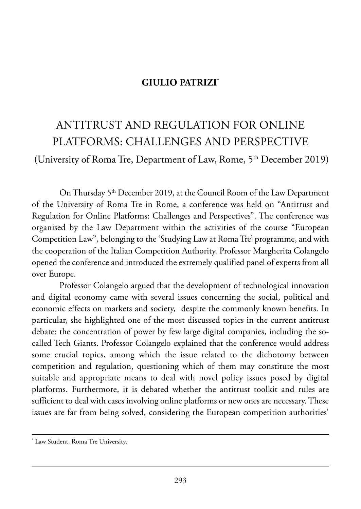## **GIULIO PATRIZI\***

## antitrust and reGulation for online platforms: ChallenGes and perspeCtiVe

(University of Roma Tre, Department of Law, Rome,  $5<sup>th</sup>$  December 2019)

On Thursday 5<sup>th</sup> December 2019, at the Council Room of the Law Department of the University of Roma Tre in Rome, a conference was held on "Antitrust and Regulation for Online Platforms: Challenges and Perspectives". The conference was organised by the Law Department within the activities of the course "European Competition Law", belonging to the 'Studying Law at Roma Tre' programme, and with the cooperation of the Italian Competition Authority. Professor Margherita Colangelo opened the conference and introduced the extremely qualified panel of experts from all over Europe.

professor Colangelo argued that the development of technological innovation and digital economy came with several issues concerning the social, political and economic effects on markets and society, despite the commonly known benefits. in particular, she highlighted one of the most discussed topics in the current antitrust debate: the concentration of power by few large digital companies, including the socalled Tech Giants. Professor Colangelo explained that the conference would address some crucial topics, among which the issue related to the dichotomy between competition and regulation, questioning which of them may constitute the most suitable and appropriate means to deal with novel policy issues posed by digital platforms. furthermore, it is debated whether the antitrust toolkit and rules are sufficient to deal with cases involving online platforms or new ones are necessary. These issues are far from being solved, considering the European competition authorities'

<sup>\*</sup> Law Student, Roma Tre University.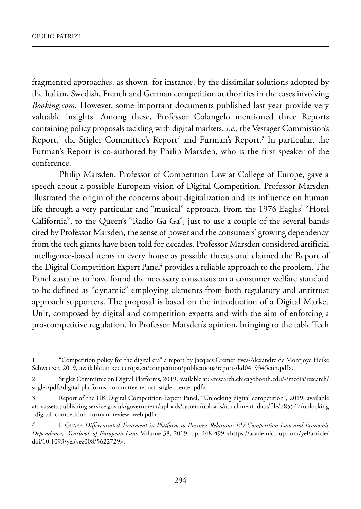fragmented approaches, as shown, for instance, by the dissimilar solutions adopted by the Italian, Swedish, French and German competition authorities in the cases involving *Booking.com*. However, some important documents published last year provide very valuable insights. Among these, Professor Colangelo mentioned three Reports containing policy proposals tackling with digital markets, *i.e.*, the Vestager Commission's Report,<sup>1</sup> the Stigler Committee's Report<sup>2</sup> and Furman's Report.<sup>3</sup> In particular, the Furman's Report is co-authored by Philip Marsden, who is the first speaker of the conference.

Philip Marsden, Professor of Competition Law at College of Europe, gave a speech about a possible European vision of Digital Competition. Professor Marsden illustrated the origin of the concerns about digitalization and its influence on human life through a very particular and "musical" approach. From the 1976 Eagles' "Hotel California", to the Queen's "Radio Ga Ga", just to use a couple of the several bands cited by Professor Marsden, the sense of power and the consumers' growing dependency from the tech giants have been told for decades. Professor Marsden considered artificial intelligence-based items in every house as possible threats and claimed the Report of the Digital Competition Expert Panel<sup>4</sup> provides a reliable approach to the problem. The panel sustains to have found the necessary consensus on a consumer welfare standard to be defined as "dynamic" employing elements from both regulatory and antitrust approach supporters. The proposal is based on the introduction of a Digital Market Unit, composed by digital and competition experts and with the aim of enforcing a pro-competitive regulation. In Professor Marsden's opinion, bringing to the table Tech

<sup>1 &</sup>quot;Competition policy for the digital era" a report by Jacques Crémer Yves-alexandre de montjoye heike schweitzer, 2019, available at: [<ec.europa.eu/competition/publications/reports/kd0419345enn.pdf>.](ec.europa.eu/competition/publications/reports/kd0419345enn.pdf)

<sup>2</sup> Stigler Committee on Digital Platforms, 2019, available at: <research.chicagobooth.edu/-/media/research/ [stigler/pdfs/digital-platforms–committee-report–stigler-center.pdf>](research.chicagobooth.edu/-/media/research/stigler/pdfs/digital-platforms%E2%80%93committee-report%E2%80%93stigler-center.pdf).

<sup>3</sup> Report of the UK Digital Competition Expert Panel, "Unlocking digital competition", 2019, available at: [<assets.publishing.service.gov.uk/government/uploads/system/uploads/attachment\\_data/file/785547/unlocking](assets.publishing.service.gov.uk/government/uploads/system/uploads/attachment_data/file/785547/unlocking_digital_competition_furman_review_web.pdf) [\\_digital\\_competition\\_furman\\_review\\_web.pdf>.](assets.publishing.service.gov.uk/government/uploads/system/uploads/attachment_data/file/785547/unlocking_digital_competition_furman_review_web.pdf)

<sup>4</sup> i. Graef, *Differentiated Treatment in Platform-to-Business Relations: EU Competition Law and Economic Dependence*, *Yearbook of European Law*, Volume 38, 2019, pp. 448-499 <https://academic.oup.com/yel/article/ doi/10.1093/yel/yez008/5622729>.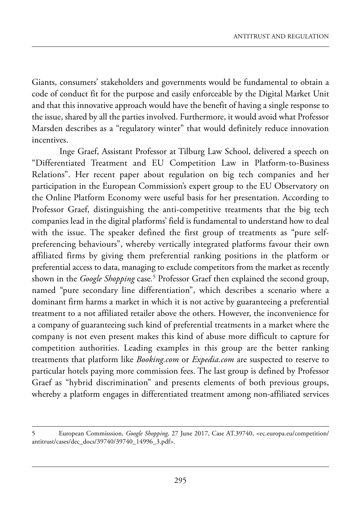Giants, consumers' stakeholders and governments would be fundamental to obtain a code of conduct fit for the purpose and easily enforceable by the Digital Market Unit and that this innovative approach would have the benefit of having a single response to the issue, shared by all the parties involved. Furthermore, it would avoid what Professor marsden describes as a "regulatory winter" that would definitely reduce innovation incentives.

Inge Graef, Assistant Professor at Tilburg Law School, delivered a speech on "Differentiated Treatment and EU Competition Law in Platform-to-Business Relations". Her recent paper about regulation on big tech companies and her participation in the European Commission's expert group to the EU Observatory on the Online Platform Economy were useful basis for her presentation. According to professor Graef, distinguishing the anti-competitive treatments that the big tech companies lead in the digital platforms' field is fundamental to understand how to deal with the issue. The speaker defined the first group of treatments as "pure selfpreferencing behaviours", whereby vertically integrated platforms favour their own affiliated firms by giving them preferential ranking positions in the platform or preferential access to data, managing to exclude competitors from the market as recently shown in the *Google Shopping* case*.* <sup>5</sup> professor Graef then explained the second group, named "pure secondary line differentiation", which describes a scenario where a dominant firm harms a market in which it is not active by guaranteeing a preferential treatment to a not affiliated retailer above the others. However, the inconvenience for a company of guaranteeing such kind of preferential treatments in a market where the company is not even present makes this kind of abuse more difficult to capture for competition authorities. leading examples in this group are the better ranking treatments that platform like *Booking.com* or *Expedia.com* are suspected to reserve to particular hotels paying more commission fees. the last group is defined by professor Graef as "hybrid discrimination" and presents elements of both previous groups, whereby a platform engages in differentiated treatment among non-affiliated services

<sup>5</sup> european Commisssion, *Google Shopping,* 27 June 2017, Case at.39740, [<ec.europa.eu/competition/](ec.europa.eu/competition/antitrust/cases/dec_docs/39740/39740_14996_3.pdf) [antitrust/cases/dec\\_docs/39740/39740\\_14996\\_3.pdf>](ec.europa.eu/competition/antitrust/cases/dec_docs/39740/39740_14996_3.pdf).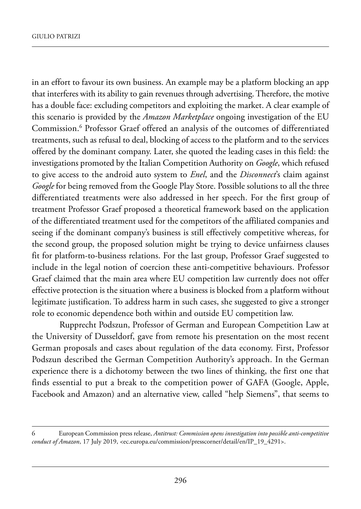in an effort to favour its own business. An example may be a platform blocking an app that interferes with its ability to gain revenues through advertising. Therefore, the motive has a double face: excluding competitors and exploiting the market. A clear example of this scenario is provided by the *Amazon Marketplace* ongoing investigation of the EU Commission.6 professor Graef offered an analysis of the outcomes of differentiated treatments, such as refusal to deal, blocking of access to the platform and to the services offered by the dominant company. later, she quoted the leading cases in this field: the investigations promoted by the Italian Competition Authority on *Google*, which refused to give access to the android auto system to *Enel*, and the *Disconnect*'s claim against Google for being removed from the Google Play Store. Possible solutions to all the three differentiated treatments were also addressed in her speech. for the first group of treatment professor Graef proposed a theoretical framework based on the application of the differentiated treatment used for the competitors of the affiliated companies and seeing if the dominant company's business is still effectively competitive whereas, for the second group, the proposed solution might be trying to device unfairness clauses fit for platform-to-business relations. For the last group, Professor Graef suggested to include in the legal notion of coercion these anti-competitive behaviours. professor Graef claimed that the main area where EU competition law currently does not offer effective protection is the situation where a business is blocked from a platform without legitimate justification. To address harm in such cases, she suggested to give a stronger role to economic dependence both within and outside EU competition law.

Rupprecht Podszun, Professor of German and European Competition Law at the University of Dusseldorf, gave from remote his presentation on the most recent German proposals and cases about regulation of the data economy. first, professor Podszun described the German Competition Authority's approach. In the German experience there is a dichotomy between the two lines of thinking, the first one that finds essential to put a break to the competition power of GAFA (Google, Apple, Facebook and Amazon) and an alternative view, called "help Siemens", that seems to

<sup>6</sup> european Commission press release, *Antitrust: Commission opens investigation into possible anti-competitive conduct of Amazon*, 17 July 2019, <ec.europa.eu/commission/presscorner/detail/en/IP\_19\_4291>.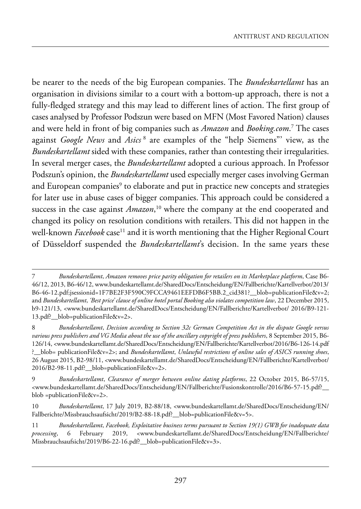be nearer to the needs of the big European companies. The *Bundeskartellamt* has an organisation in divisions similar to a court with a bottom-up approach, there is not a fully-fledged strategy and this may lead to different lines of action. The first group of cases analysed by Professor Podszun were based on MFN (Most Favored Nation) clauses and were held in front of big companies such as *Amazon* and *Booking.com*. <sup>7</sup> the cases against *Google News* and *Asics* <sup>8</sup> are examples of the "help siemens"' view, as the *Bundeskartellamt* sided with these companies, rather than contesting their irregularities. In several merger cases, the *Bundeskartellamt* adopted a curious approach. In Professor podszun's opinion, the *Bundeskartellamt* used especially merger cases involving German and European companies<sup>9</sup> to elaborate and put in practice new concepts and strategies for later use in abuse cases of bigger companies. This approach could be considered a success in the case against *Amazon*, <sup>10</sup> where the company at the end cooperated and changed its policy on resolution conditions with retailers. This did not happen in the well-known *Facebook* case<sup>11</sup> and it is worth mentioning that the Higher Regional Court of Düsseldorf suspended the *Bundeskartellamt*'s decision. In the same years these

8 *Bundeskartellamt*, *Decision according to Section 32c German Competition Act in the dispute Google versus various press publishers and VG Media about the use of the ancillary copyright of press publishers*, 8 september 2015, B6- 126/14, <www.bundeskartellamt.de/shareddocs/entscheidung/en/fallberichte/kartellverbot/2016/B6-126-14.pdf ?\_\_blob= publicationfile&v=2>; and *Bundeskartellamt*, *Unlawful restrictions of online sales of ASICS running shoes*, 26 August 2015, B2-98/11, <www.bundeskartellamt.de/SharedDocs/Entscheidung/EN/Fallberichte/Kartellverbot/ 2016/B2-98-11.pdf?\_\_blob=publicationfile&v=2>.

9 *Bundeskartellamt*, *Clearance of merger between online dating platforms*, 22 october 2015, B6-57/15, <www.bundeskartellamt.de/SharedDocs/Entscheidung/EN/Fallberichte/Fusionskontrolle/2016/B6-57-15.pdf? blob =publicationFile&v=2>.

10 *Bundeskartellamt*, 17 July 2019, B2-88/18, <www.bundeskartellamt.de/SharedDocs/Entscheidung/EN/ Fallberichte/Missbrauchsaufsicht/2019/B2-88-18.pdf?\_blob=publicationFile&v=5>.

11 *Bundeskartellamt*, *Facebook, Exploitative business terms pursuant to Section 19(1) GWB for inadequate data* processing, 6 February 2019, <www.bundeskartellamt.de/SharedDocs/Entscheidung/EN/Fallberichte/ missbrauchsaufsicht/2019/B6-22-16.pdf?\_\_blob=publicationfile&v=3>.

<sup>7</sup> *Bundeskartellamt*, *Amazon removes price parity obligation for retailers on its Marketplace platform*, Case B6- 46/12, 2013, B6-46/12, www.bundeskartellamt.de/shareddocs/entscheidung/en/fallberichte/kartellverbot/2013/ B6-46-12.pdf;jsessionid=1F7BE2F3F590C9FCCA9461EEFDB6F5BB.2\_cid381?\_blob=publicationFile&v=2; and *Bundeskartellamt*, *'Best price' clause of online hotel portal Booking also violates competition law*, 22 december 2015, b9-121/13, <www.bundeskartellamt.de/shareddocs/entscheidung/en/fallberichte/kartellverbot/ 2016/B9-121- 13.pdf?\_\_blob=publicationfile&v=2>.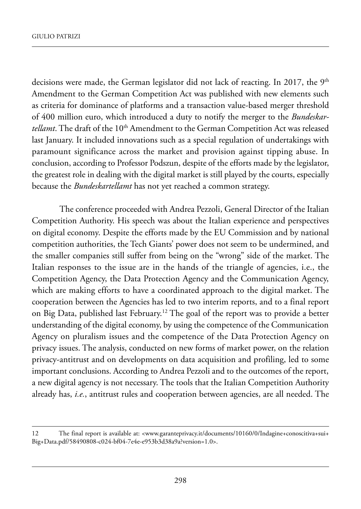decisions were made, the German legislator did not lack of reacting. In 2017, the 9<sup>th</sup> Amendment to the German Competition Act was published with new elements such as criteria for dominance of platforms and a transaction value-based merger threshold of 400 million euro, which introduced a duty to notify the merger to the *Bundeskartellamt*. The draft of the 10<sup>th</sup> Amendment to the German Competition Act was released last January. It included innovations such as a special regulation of undertakings with paramount significance across the market and provision against tipping abuse. in conclusion, according to Professor Podszun, despite of the efforts made by the legislator, the greatest role in dealing with the digital market is still played by the courts, especially because the *Bundeskartellamt* has not yet reached a common strategy.

The conference proceeded with Andrea Pezzoli, General Director of the Italian Competition Authority. His speech was about the Italian experience and perspectives on digital economy. Despite the efforts made by the EU Commission and by national competition authorities, the Tech Giants' power does not seem to be undermined, and the smaller companies still suffer from being on the "wrong" side of the market. The Italian responses to the issue are in the hands of the triangle of agencies, i.e., the Competition Agency, the Data Protection Agency and the Communication Agency, which are making efforts to have a coordinated approach to the digital market. The cooperation between the Agencies has led to two interim reports, and to a final report on Big Data, published last February.<sup>12</sup> The goal of the report was to provide a better understanding of the digital economy, by using the competence of the Communication Agency on pluralism issues and the competence of the Data Protection Agency on privacy issues. The analysis, conducted on new forms of market power, on the relation privacy-antitrust and on developments on data acquisition and profiling, led to some important conclusions. According to Andrea Pezzoli and to the outcomes of the report, a new digital agency is not necessary. The tools that the Italian Competition Authority already has, *i.e.*, antitrust rules and cooperation between agencies, are all needed. The

<sup>12</sup> The final report is available at: <www.garanteprivacy.it/documents/10160/0/Indagine+conoscitiva+sui+ Big+Data.pdf/58490808-c024-bf04-7e4e-e953b3d38a9a?version=1.0>.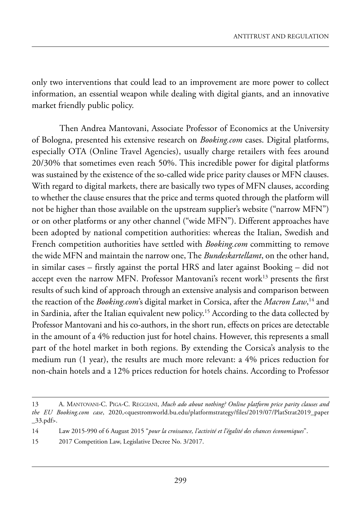only two interventions that could lead to an improvement are more power to collect information, an essential weapon while dealing with digital giants, and an innovative market friendly public policy.

Then Andrea Mantovani, Associate Professor of Economics at the University of Bologna, presented his extensive research on *Booking.com* cases. Digital platforms, especially OTA (Online Travel Agencies), usually charge retailers with fees around 20/30% that sometimes even reach 50%. This incredible power for digital platforms was sustained by the existence of the so-called wide price parity clauses or MFN clauses. With regard to digital markets, there are basically two types of MFN clauses, according to whether the clause ensures that the price and terms quoted through the platform will not be higher than those available on the upstream supplier's website ("narrow MFN") or on other platforms or any other channel ("wide MFN"). Different approaches have been adopted by national competition authorities: whereas the Italian, Swedish and french competition authorities have settled with *Booking.com* committing to remove the wide mfn and maintain the narrow one, the *Bundeskartellamt*, on the other hand, in similar cases – firstly against the portal HRS and later against Booking – did not accept even the narrow MFN. Professor Mantovani's recent work<sup>13</sup> presents the first results of such kind of approach through an extensive analysis and comparison between the reaction of the *Booking.com*'s digital market in Corsica, after the *Macron Law*, <sup>14</sup> and in Sardinia, after the Italian equivalent new policy.<sup>15</sup> According to the data collected by Professor Mantovani and his co-authors, in the short run, effects on prices are detectable in the amount of a 4% reduction just for hotel chains. However, this represents a small part of the hotel market in both regions. By extending the Corsica's analysis to the medium run (1 year), the results are much more relevant: a 4% prices reduction for non-chain hotels and a 12% prices reduction for hotels chains. According to Professor

<sup>13</sup> A. MANTOVANI-C. PIGA-C. REGGIANI, *Much ado about nothing? Online platform price parity clauses and the EU Booking.com case*, 2020[,<questromworld.bu.edu/platformstrategy/files/2019/07/platstrat2019\\_paper](questromworld.bu.edu/platformstrategy/files/2019/07/platstrat2019_paper_33.pdf)  $\_33.pdf$ .

<sup>14</sup> law 2015-990 of 6 august 2015 "*pour la croissance, l'activité et l'égalité des chances économiques*".

<sup>15 2017</sup> Competition Law, Legislative Decree No. 3/2017.